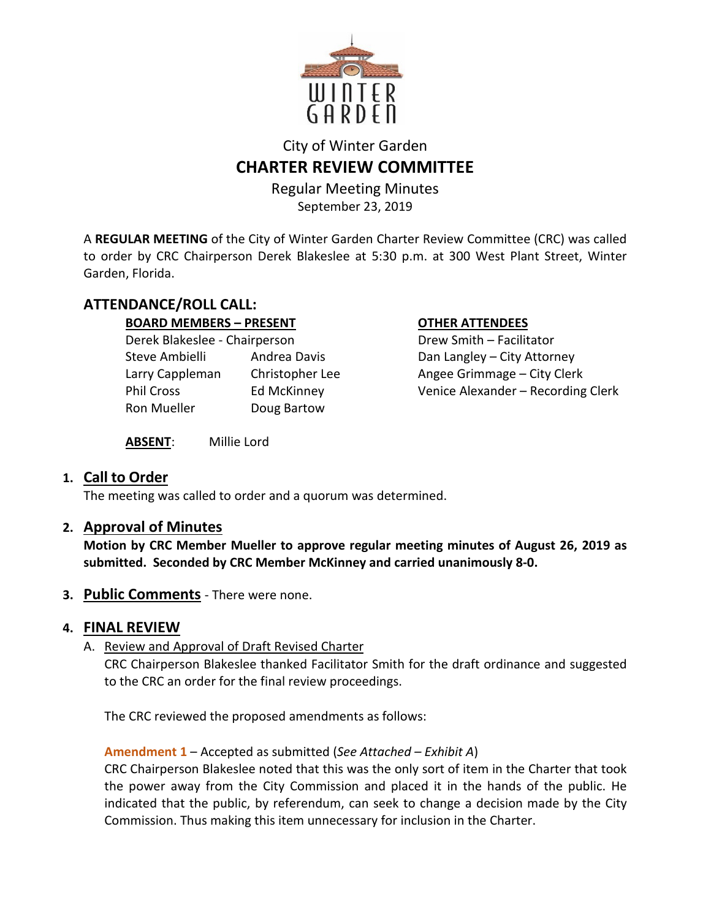

# City of Winter Garden **CHARTER REVIEW COMMITTEE**

Regular Meeting Minutes September 23, 2019

A **REGULAR MEETING** of the City of Winter Garden Charter Review Committee (CRC) was called to order by CRC Chairperson Derek Blakeslee at 5:30 p.m. at 300 West Plant Street, Winter Garden, Florida.

## **ATTENDANCE/ROLL CALL:**

### **BOARD MEMBERS – PRESENT COTHER ATTENDEES**

| Derek Blakeslee - Chairperson |                    |
|-------------------------------|--------------------|
| Steve Ambielli                | Andrea Davis       |
| Larry Cappleman               | Christopher Lee    |
| Phil Cross                    | <b>Ed McKinney</b> |
| Ron Mueller                   | Doug Bartow        |
|                               |                    |

Drew Smith – Facilitator Dan Langley – City Attorney Angee Grimmage – City Clerk Venice Alexander – Recording Clerk

**ABSENT**: Millie Lord

## **1. Call to Order**

The meeting was called to order and a quorum was determined.

## **2. Approval of Minutes**

**Motion by CRC Member Mueller to approve regular meeting minutes of August 26, 2019 as submitted. Seconded by CRC Member McKinney and carried unanimously 8-0.** 

**3. Public Comments** - There were none.

## **4. FINAL REVIEW**

A. Review and Approval of Draft Revised Charter

CRC Chairperson Blakeslee thanked Facilitator Smith for the draft ordinance and suggested to the CRC an order for the final review proceedings.

The CRC reviewed the proposed amendments as follows:

## **Amendment 1** – Accepted as submitted (*See Attached – Exhibit A*)

CRC Chairperson Blakeslee noted that this was the only sort of item in the Charter that took the power away from the City Commission and placed it in the hands of the public. He indicated that the public, by referendum, can seek to change a decision made by the City Commission. Thus making this item unnecessary for inclusion in the Charter.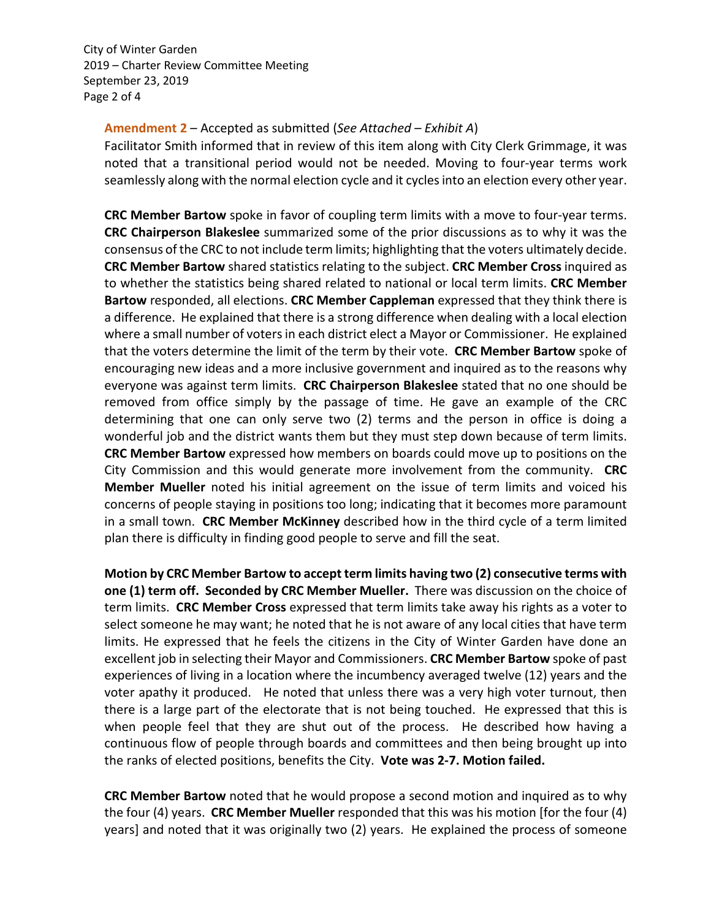September 23, 2019 Page 2 of 4 City of Winter Garden 2019 – Charter Review Committee Meeting

#### **Amendment 2** – Accepted as submitted (*See Attached – Exhibit A*)

Facilitator Smith informed that in review of this item along with City Clerk Grimmage, it was noted that a transitional period would not be needed. Moving to four-year terms work seamlessly along with the normal election cycle and it cycles into an election every other year.

**CRC Member Bartow** spoke in favor of coupling term limits with a move to four-year terms. **CRC Chairperson Blakeslee** summarized some of the prior discussions as to why it was the consensus of the CRC to not include term limits; highlighting that the voters ultimately decide. **CRC Member Bartow** shared statistics relating to the subject. **CRC Member Cross** inquired as to whether the statistics being shared related to national or local term limits. **CRC Member Bartow** responded, all elections. **CRC Member Cappleman** expressed that they think there is a difference. He explained that there is a strong difference when dealing with a local election where a small number of voters in each district elect a Mayor or Commissioner. He explained that the voters determine the limit of the term by their vote. **CRC Member Bartow** spoke of encouraging new ideas and a more inclusive government and inquired as to the reasons why everyone was against term limits. **CRC Chairperson Blakeslee** stated that no one should be removed from office simply by the passage of time. He gave an example of the CRC determining that one can only serve two (2) terms and the person in office is doing a wonderful job and the district wants them but they must step down because of term limits. **CRC Member Bartow** expressed how members on boards could move up to positions on the City Commission and this would generate more involvement from the community. **CRC Member Mueller** noted his initial agreement on the issue of term limits and voiced his concerns of people staying in positions too long; indicating that it becomes more paramount in a small town. **CRC Member McKinney** described how in the third cycle of a term limited plan there is difficulty in finding good people to serve and fill the seat.

**Motion by CRC Member Bartow to accept term limits having two (2) consecutive terms with one (1) term off. Seconded by CRC Member Mueller.** There was discussion on the choice of term limits. **CRC Member Cross** expressed that term limits take away his rights as a voter to select someone he may want; he noted that he is not aware of any local cities that have term limits. He expressed that he feels the citizens in the City of Winter Garden have done an excellent job in selecting their Mayor and Commissioners. **CRC Member Bartow** spoke of past experiences of living in a location where the incumbency averaged twelve (12) years and the voter apathy it produced. He noted that unless there was a very high voter turnout, then there is a large part of the electorate that is not being touched. He expressed that this is when people feel that they are shut out of the process. He described how having a continuous flow of people through boards and committees and then being brought up into the ranks of elected positions, benefits the City. **Vote was 2-7. Motion failed.** 

**CRC Member Bartow** noted that he would propose a second motion and inquired as to why the four (4) years. **CRC Member Mueller** responded that this was his motion [for the four (4) years] and noted that it was originally two (2) years. He explained the process of someone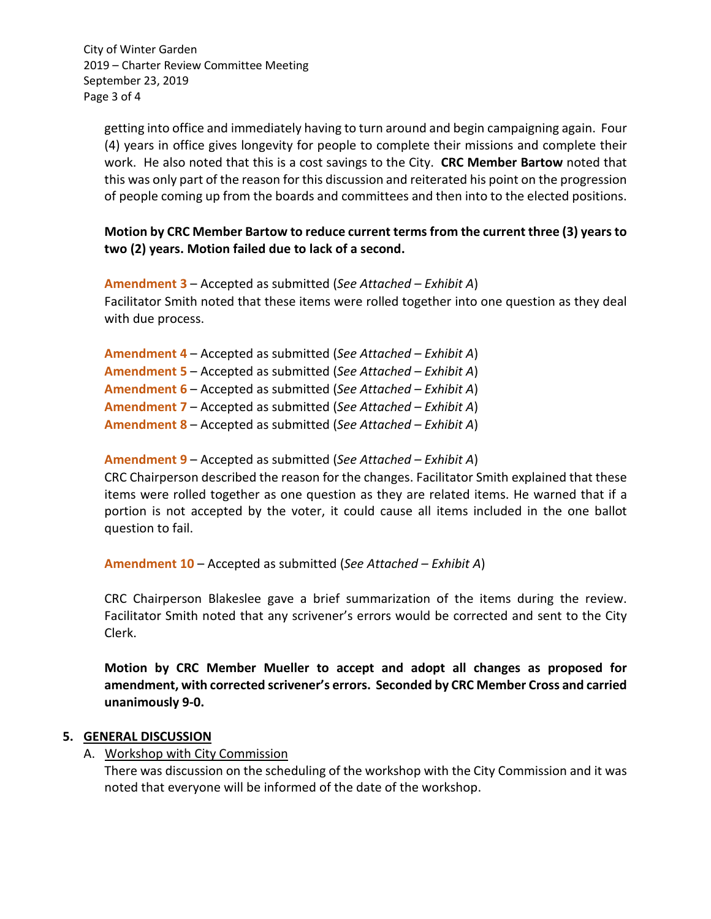September 23, 2019 Page 3 of 4 City of Winter Garden 2019 – Charter Review Committee Meeting

getting into office and immediately having to turn around and begin campaigning again. Four (4) years in office gives longevity for people to complete their missions and complete their work. He also noted that this is a cost savings to the City. **CRC Member Bartow** noted that this was only part of the reason for this discussion and reiterated his point on the progression of people coming up from the boards and committees and then into to the elected positions.

**Motion by CRC Member Bartow to reduce current terms from the current three (3) years to two (2) years. Motion failed due to lack of a second.** 

**Amendment 3** – Accepted as submitted (*See Attached – Exhibit A*) Facilitator Smith noted that these items were rolled together into one question as they deal with due process.

**Amendment 4** – Accepted as submitted (*See Attached – Exhibit A*) **Amendment 5** – Accepted as submitted (*See Attached – Exhibit A*) **Amendment 6** – Accepted as submitted (*See Attached – Exhibit A*) **Amendment 7** – Accepted as submitted (*See Attached – Exhibit A*) **Amendment 8** – Accepted as submitted (*See Attached – Exhibit A*)

#### **Amendment 9** – Accepted as submitted (*See Attached – Exhibit A*)

CRC Chairperson described the reason for the changes. Facilitator Smith explained that these items were rolled together as one question as they are related items. He warned that if a portion is not accepted by the voter, it could cause all items included in the one ballot question to fail.

**Amendment 10** – Accepted as submitted (*See Attached – Exhibit A*)

CRC Chairperson Blakeslee gave a brief summarization of the items during the review. Facilitator Smith noted that any scrivener's errors would be corrected and sent to the City Clerk.

**Motion by CRC Member Mueller to accept and adopt all changes as proposed for amendment, with corrected scrivener's errors. Seconded by CRC Member Cross and carried unanimously 9-0.** 

#### **5. GENERAL DISCUSSION**

A. Workshop with City Commission

There was discussion on the scheduling of the workshop with the City Commission and it was noted that everyone will be informed of the date of the workshop.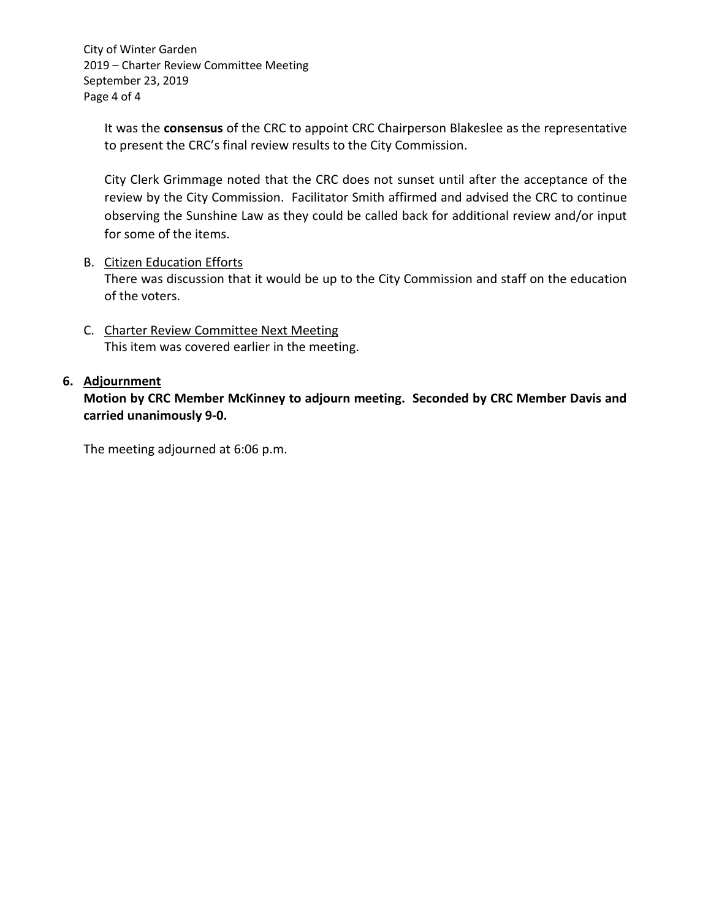September 23, 2019 Page 4 of 4 City of Winter Garden 2019 – Charter Review Committee Meeting

It was the **consensus** of the CRC to appoint CRC Chairperson Blakeslee as the representative to present the CRC's final review results to the City Commission.

City Clerk Grimmage noted that the CRC does not sunset until after the acceptance of the review by the City Commission. Facilitator Smith affirmed and advised the CRC to continue observing the Sunshine Law as they could be called back for additional review and/or input for some of the items.

#### B. Citizen Education Efforts

There was discussion that it would be up to the City Commission and staff on the education of the voters.

C. Charter Review Committee Next Meeting This item was covered earlier in the meeting.

#### **6. Adjournment**

**Motion by CRC Member McKinney to adjourn meeting. Seconded by CRC Member Davis and carried unanimously 9-0.** 

The meeting adjourned at 6:06 p.m.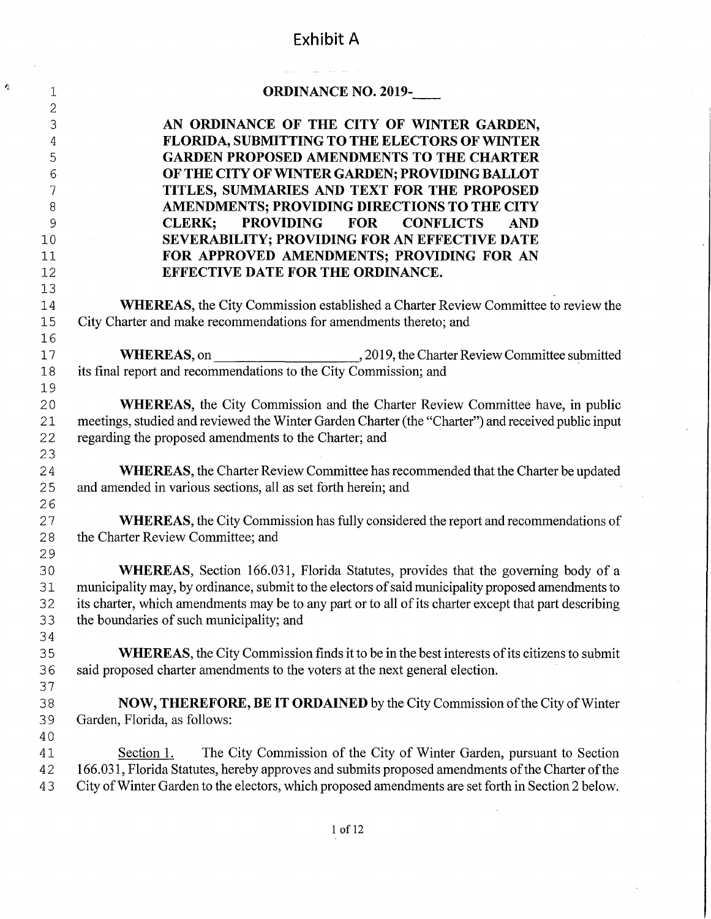# Exhibit A

 $\mathbf{A}$ 

|                | and control to company of the state of the state                                                                                                                                                |
|----------------|-------------------------------------------------------------------------------------------------------------------------------------------------------------------------------------------------|
| 1              | <b>ORDINANCE NO. 2019-</b>                                                                                                                                                                      |
| $\overline{c}$ |                                                                                                                                                                                                 |
| 3              | AN ORDINANCE OF THE CITY OF WINTER GARDEN,<br><b>FLORIDA, SUBMITTING TO THE ELECTORS OF WINTER</b>                                                                                              |
| 4<br>5         | <b>GARDEN PROPOSED AMENDMENTS TO THE CHARTER</b>                                                                                                                                                |
| 6              | OF THE CITY OF WINTER GARDEN; PROVIDING BALLOT                                                                                                                                                  |
| 7              | TITLES, SUMMARIES AND TEXT FOR THE PROPOSED                                                                                                                                                     |
| 8              | AMENDMENTS; PROVIDING DIRECTIONS TO THE CITY                                                                                                                                                    |
| $\mathsf 9$    | <b>CLERK:</b><br><b>PROVIDING</b><br><b>FOR</b><br><b>CONFLICTS</b><br><b>AND</b>                                                                                                               |
| 10             | SEVERABILITY; PROVIDING FOR AN EFFECTIVE DATE                                                                                                                                                   |
| 11             | FOR APPROVED AMENDMENTS; PROVIDING FOR AN                                                                                                                                                       |
| 12             | EFFECTIVE DATE FOR THE ORDINANCE.                                                                                                                                                               |
| 13             |                                                                                                                                                                                                 |
| 14             | WHEREAS, the City Commission established a Charter Review Committee to review the                                                                                                               |
| 15             | City Charter and make recommendations for amendments thereto; and                                                                                                                               |
| 16             |                                                                                                                                                                                                 |
| 17             |                                                                                                                                                                                                 |
| 18             | its final report and recommendations to the City Commission; and                                                                                                                                |
| 19             |                                                                                                                                                                                                 |
| 20             | <b>WHEREAS</b> , the City Commission and the Charter Review Committee have, in public                                                                                                           |
| 21             | meetings, studied and reviewed the Winter Garden Charter (the "Charter") and received public input                                                                                              |
| 22             | regarding the proposed amendments to the Charter; and                                                                                                                                           |
| 23             |                                                                                                                                                                                                 |
| 24             | WHEREAS, the Charter Review Committee has recommended that the Charter be updated                                                                                                               |
| 25             | and amended in various sections, all as set forth herein; and                                                                                                                                   |
| 26             |                                                                                                                                                                                                 |
| 27             | <b>WHEREAS</b> , the City Commission has fully considered the report and recommendations of                                                                                                     |
| 28             | the Charter Review Committee; and                                                                                                                                                               |
| 29             |                                                                                                                                                                                                 |
| 30             | <b>WHEREAS</b> , Section 166.031, Florida Statutes, provides that the governing body of a<br>municipality may, by ordinance, submit to the electors of said municipality proposed amendments to |
| 31<br>32       | its charter, which amendments may be to any part or to all of its charter except that part describing                                                                                           |
| 33             | the boundaries of such municipality; and                                                                                                                                                        |
| 34             |                                                                                                                                                                                                 |
| 35             | <b>WHEREAS</b> , the City Commission finds it to be in the best interests of its citizens to submit                                                                                             |
| 36             | said proposed charter amendments to the voters at the next general election.                                                                                                                    |
| 37             |                                                                                                                                                                                                 |
| 38             | NOW, THEREFORE, BE IT ORDAINED by the City Commission of the City of Winter                                                                                                                     |
| 39             | Garden, Florida, as follows:                                                                                                                                                                    |
| 40             |                                                                                                                                                                                                 |
| 41             | The City Commission of the City of Winter Garden, pursuant to Section<br>Section 1.                                                                                                             |
| 42             | 166.031, Florida Statutes, hereby approves and submits proposed amendments of the Charter of the                                                                                                |
| 43             | City of Winter Garden to the electors, which proposed amendments are set forth in Section 2 below.                                                                                              |
|                |                                                                                                                                                                                                 |
|                |                                                                                                                                                                                                 |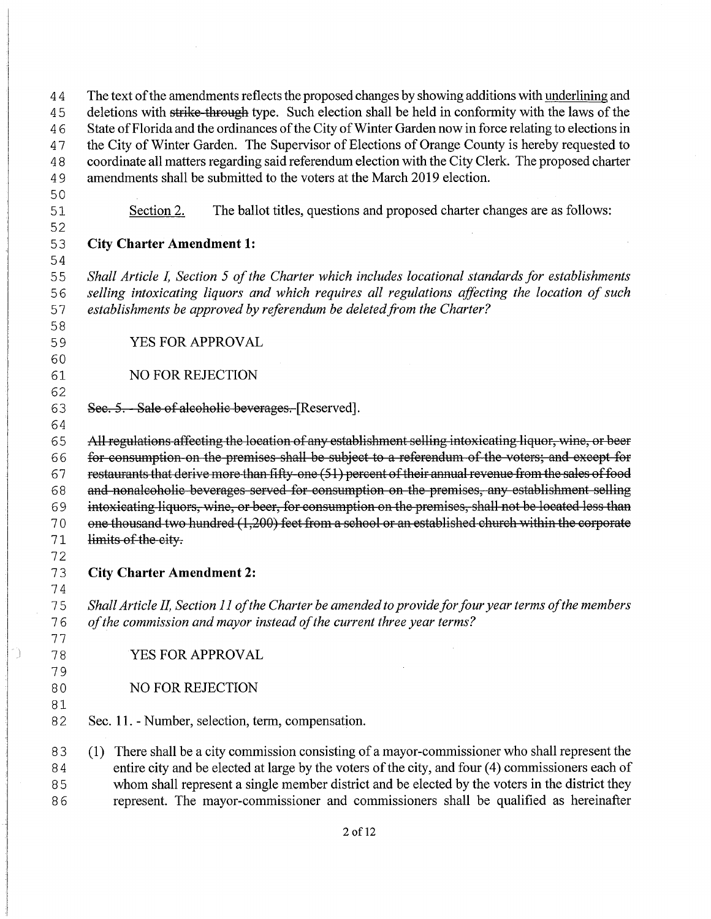44 The text of the amendments reflects the proposed changes by showing additions with underlining and 45 deletions with strike through type. Such election shall be held in conformity with the laws of the 46 State of Florida and the ordinances of the City of Winter Garden now in force relating to elections in 47 the City of Winter Garden. The Supervisor of Elections of Orange County is hereby requested to 4 8 coordinate all matters regarding said referendum election with the City Clerk. The proposed charter 4 9 amendments shall be submitted to the voters at the March 2019 election. 50 51 Section 2. The ballot titles, questions and proposed charter changes are as follows: 52 5 3 **City Charter Amendment 1:**  54 55 Shall Article I, Section 5 of the Charter which includes locational standards for establishments 5 6 *selling intoxicating liquors and which requires all regulations affecting the location of such*  5 7 *establishments be approved by referendum be deleted from the Charter?*  58 59 YES FOR APPROVAL 60 61 NO FOR REJECTION 62 63 Sec. 5. - Sale of alcoholic beverages. [Reserved]. 64 65 All regulations affecting the location of any establishment selling intoxicating liquor, wine, or beer 66 for consumption on the premises shall be subject to a referendum of the voters; and except for 67 restaurants that derive more than fifty-one (51) percent of their annual revenue from the sales of food 6 8 and nonalcoholic beverages served for consumption on the premises, any establishment selling 69 intoxicating liquors, wine, or beer, for consumption on the premises, shall not be located less than 70 one thousand two hundred (1,200) feet from a school or an established church within the corporate 71 limits of the city. 72 7 3 **City Charter Amendment 2:**  74 7 5 *Shall Article IL Section 11 ofthe Charter be amended to provide for four year terms ofthe members*  7 6 *ofthe commission and mayor instead ofthe current three year terms?*  77 78 YES FOR APPROVAL 79 80 NO FOR REJECTION 81 82 Sec. 11. - Number, selection, term, compensation. 8 3 (1) There shall be a city commission consisting of a mayor-commissioner who shall represent the 84 entire city and be elected at large by the voters of the city, and four (4) commissioners each of 8 5 whom shall represent a single member district and be elected by the voters in the district they 8 6 represent. The mayor-commissioner and commissioners shall be qualified as hereinafter

C)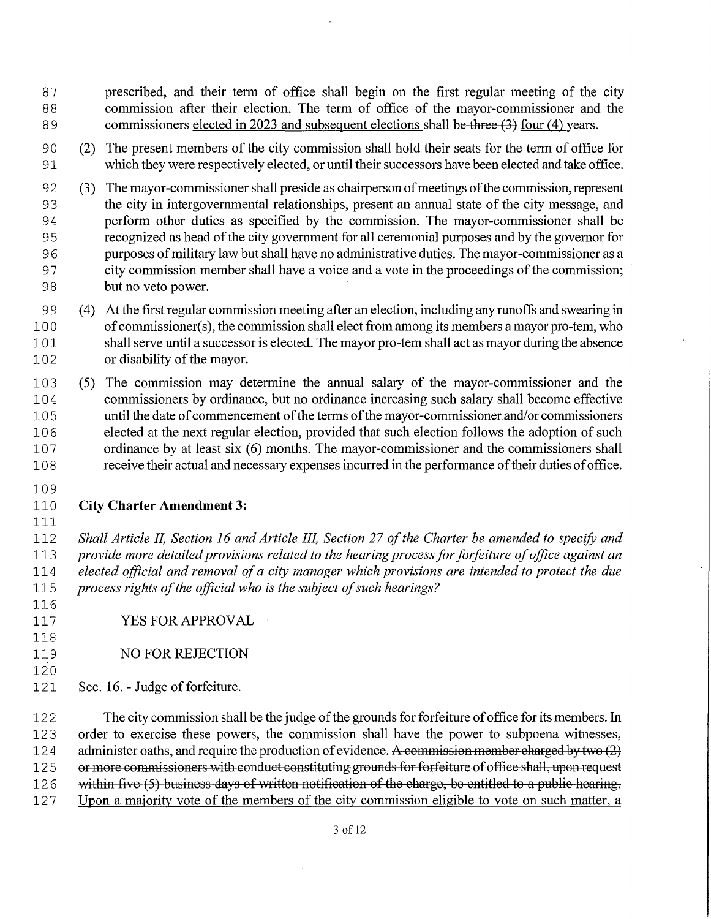- 87 prescribed, and their term of office shall begin on the first regular meeting of the city 88 commission after their election. The term of office of the mayor-commissioner and the 89 commissioners elected in 2023 and subsequent elections shall be three (3) four (4) years.
- 9 0 (2) The present members of the city commission shall hold their seats for the term of office for 91 which they were respectively elected, or until their successors have been elected and take office.
- 92 (3) The mayor-commissioner shall preside as chairperson of meetings of the commission, represent 9 3 the city in intergovernmental relationships, present an annual state of the city message, and 94 perform other duties as specified by the commission. The mayor-commissioner shall be 9 5 recognized as head ofthe city government for all ceremonial purposes and by the governor for 9 6 purposes ofmilitary law but shall have no administrative duties. The mayor-commissioner as a 97 city commission member shall have a voice and a vote in the proceedings of the commission; 98 but no veto power.
- 9 9 ( 4) At the first regular commission meeting after an election, including any runoffs and swearing in 100 of commissioner(s), the commission shall elect from among its members a mayor pro-tem, who 101 shall serve until a successor is elected. The mayor pro-tern shall act as mayor during the absence 102 or disability of the mayor.
- 10 3 (5) The commission may determine the annual salary of the mayor-commissioner and the 1 0 4 commissioners by ordinance, but no ordinance increasing such salary shall become effective 105 until the date of commencement of the terms of the mayor-commissioner and/or commissioners 10 6 elected at the next regular election, provided that such election follows the adoption of such 107 ordinance by at least six (6) months. The mayor-commissioner and the commissioners shall 10 8 receive their actual and necessary expenses incurred in the performance oftheir duties ofoffice.
- 109

111

#### 110 **City Charter Amendment 3:**

*Shall Article IL Section 16 and Article III, Section 27 ofthe Charter be amended to specify and provide more detailed provisions related to the hearing process for forfeiture ofoffice against an elected official and removal ofa city manager which provisions are intended to protect the due process rights of the official who is the subject of such hearings?* 

- 116 117 YES FOR APPROVAL
- 118 119 NO FOR REJECTION
- 120

121 Sec. 16. - Judge of forfeiture.

122 The city commission shall be the judge of the grounds for forfeiture of office for its members. In 12 3 order to exercise these powers, the commission shall have the power to subpoena witnesses, 124 administer oaths, and require the production of evidence. A commission member charged by two (2) 125 or more commissioners with conduct constituting grounds for forfeiture of office shall, upon request 126 within five (5) business days of written notification of the charge, be entitled to a public hearing. 127 Upon a majority vote of the members of the city commission eligible to vote on such matter, a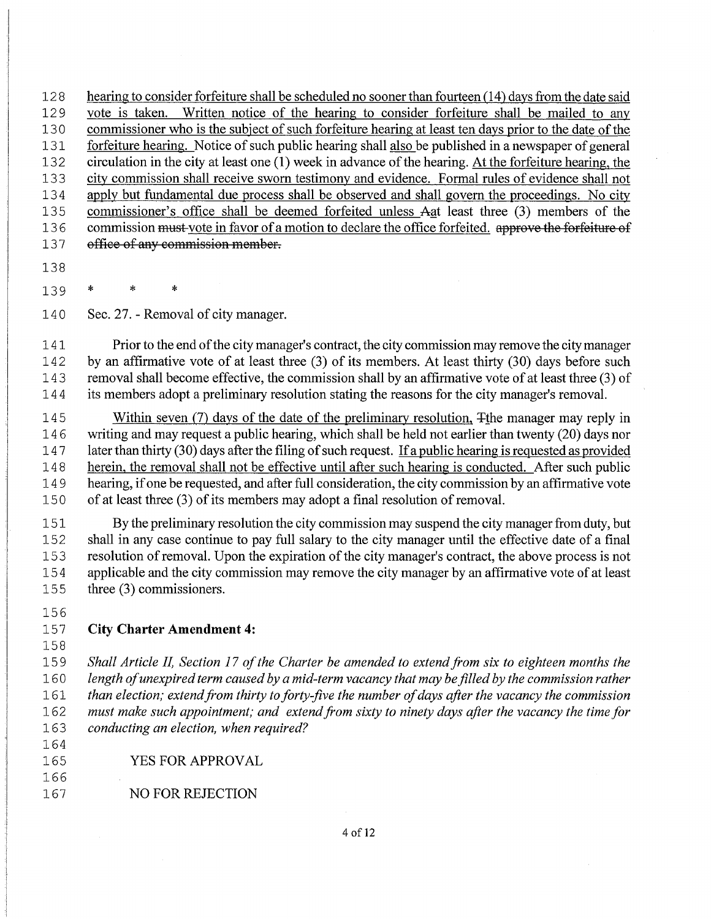128 hearing to consider forfeiture shall be scheduled no sooner than fourteen (14) days from the date said 129 vote is taken. Written notice of the hearing to consider forfeiture shall be mailed to any 13 O commissioner who is the subject of such forfeiture hearing at least ten days prior to the date of the 131 forfeiture hearing. Notice of such public hearing shall also be published in a newspaper of general 132 circulation in the city at least one **(1)** week in advance ofthe hearing. At the forfeiture hearing, the 133 city commission shall receive sworn testimony and evidence. Formal rules of evidence shall not 13 4 apply but fundamental due process shall be observed and shall govern the proceedings. No city 135 commissioner's office shall be deemed forfeited unless Aat least three (3) members of the 136 commission must-vote in favor of a motion to declare the office forfeited. approve the forfeiture of 137 office of any commission member.

- 138
- 139 \* \* \*

140 Sec. 27. - Removal of city manager.

141 Prior to the end of the city manager's contract, the city commission may remove the city manager 142 by an affirmative vote of at least three (3) of its members. At least thirty (30) days before such 14 3 removal shall become effective, the commission shall by an affirmative vote of at least three (3) of 14 4 its members adopt a preliminary resolution stating the reasons for the city manager's removal.

145 Within seven (7) days of the date of the preliminary resolution,  $\frac{1}{2}$  the manager may reply in 146 writing and may request a public hearing, which shall be held not earlier than twenty (20) days nor 147 later than thirty (30) days after the filing of such request. If a public hearing is requested as provided later than thirty  $(30)$  days after the filing of such request. If a public hearing is requested as provided 14 8 herein, the removal shall not be effective until after such hearing is conducted. After such public 14 9 hearing, ifone be requested, and after full consideration, the city commission by an affirmative vote 15 0 of at least three (3) of its members may adopt a final resolution of removal.

151 By the preliminary resolution the city commission may suspend the city manager from duty, but 152 shall in any case continue to pay full salary to the city manager until the effective date of a final 153 resolution of removal. Upon the expiration of the city manager's contract, the above process is not 15 4 applicable and the city commission may remove the city manager by an affirmative vote of at least 155 three (3) commissioners.

156

## 157 **City Charter Amendment 4:**

158

166

15 9 *Shall Article IL Section 17 ofthe Charter be amended to extend from six to eighteen months the*  0 *length ofunexpired term caused by a mid-term vacancy that may be filled by the commission rather than election; extend from thirty to forty-jive the number ofdays after the vacancy the commission*  2 *must make such appointment; and extend from sixty to ninety days after the vacancy the time for conducting an election, when required?*  164

165 YES FOR APPROVAL

167 NO FOR REJECTION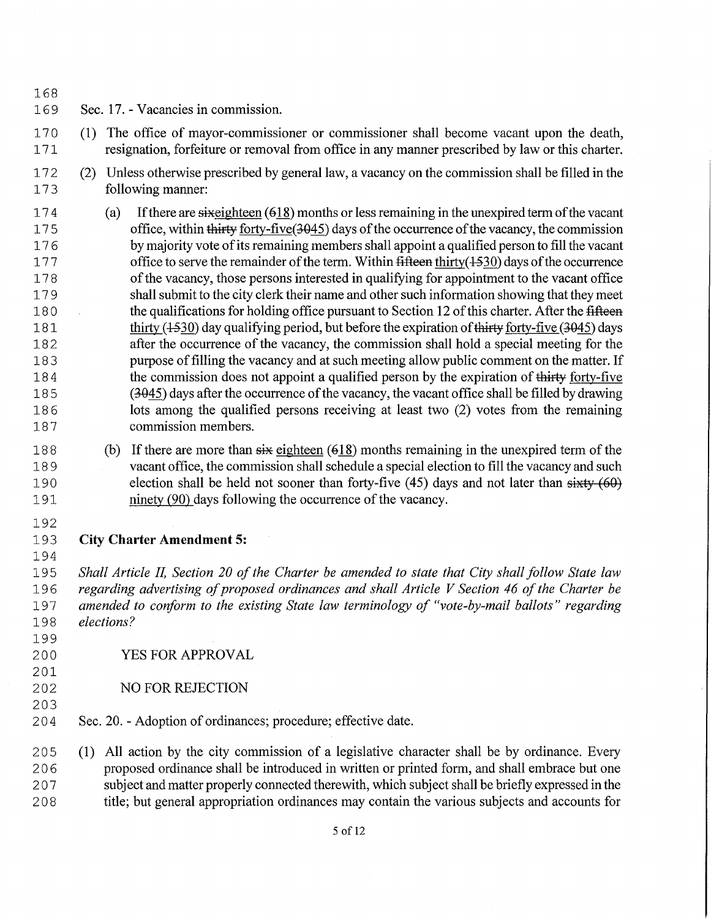- 168<br>169 Sec. 17. - Vacancies in commission.
- 170 (1) The office of mayor-commissioner or commissioner shall become vacant upon the death, 1 71 resignation, forfeiture or removal from office in any manner prescribed by law or this charter.
- 172 (2) Unless otherwise prescribed by general law, a vacancy on the commission shall be filled in the 173 following manner:
- 174 (a) If there are sixed the unexpired term of the vacant of the vacant of the vacant of the vacant of the within thirty forty-five (3045) days of the occurrence of the vacancy, the commission office, within thirty forty-five(3045) days of the occurrence of the vacancy, the commission 176 by majority vote of its remaining members shall appoint a qualified person to fill the vacant 177 office to serve the remainder of the term. Within fifteen thirty(1530) days of the occurrence 178 of the vacancy, those persons interested in qualifying for appointment to the vacant office 1 7 9 shall submit to the city clerk their name and other such information showing that they meet 180 the qualifications for holding office pursuant to Section 12 of this charter. After the fifteen 181 thirty (4.530) day qualifying period, but before the expiration of thirty forty-five (3045) days 182 after the occurrence of the vacancy, the commission shall hold a special meeting for the 183 purpose of filling the vacancy and at such meeting allow public comment on the matter. If<br>184 the commission does not appoint a qualified person by the expiration of thirty forty-five the commission does not appoint a qualified person by the expiration of thirty forty-five 18 5 (3-045) days after the occurrence ofthe vacancy, the vacant office shall be filled by drawing 18 6 lots among the qualified persons receiving at least two (2) votes from the remaining 187 commission members.
- 188 (b) If there are more than  $s\ddot{x}$  eighteen (618) months remaining in the unexpired term of the 18 9 vacant office, the commission shall schedule a special election to fill the vacancy and such 190 election shall be held not sooner than forty-five (45) days and not later than  $sixty(60)$ 191 ninety (90) days following the occurrence of the vacancy.
- 192

199

201

203

## 19 3 **City Charter Amendment 5:**

194<br>195 19 <sup>5</sup>*Shall Article II, Section 20 of the Charter be amended to state that City shall follow State law*  196 regarding advertising of proposed ordinances and shall Article V Section 46 of the Charter be 19 <sup>7</sup>*amended to coriform to the existing State law terminology of "vote-by-mail ballots" regarding*  198 elections?

- 200 YES FOR APPROVAL
- 202 NO FOR REJECTION
- 2 O4 Sec. 20. Adoption of ordinances; procedure; effective date.

205 (1) All action by the city commission of a legislative character shall be by ordinance. Every 2 0 6 proposed ordinance shall be introduced in written or printed form, and shall embrace but one 2 0 7 subject and matter properly connected therewith, which subject shall be briefly expressed in the 2 0 8 title; but general appropriation ordinances may contain the various subjects and accounts for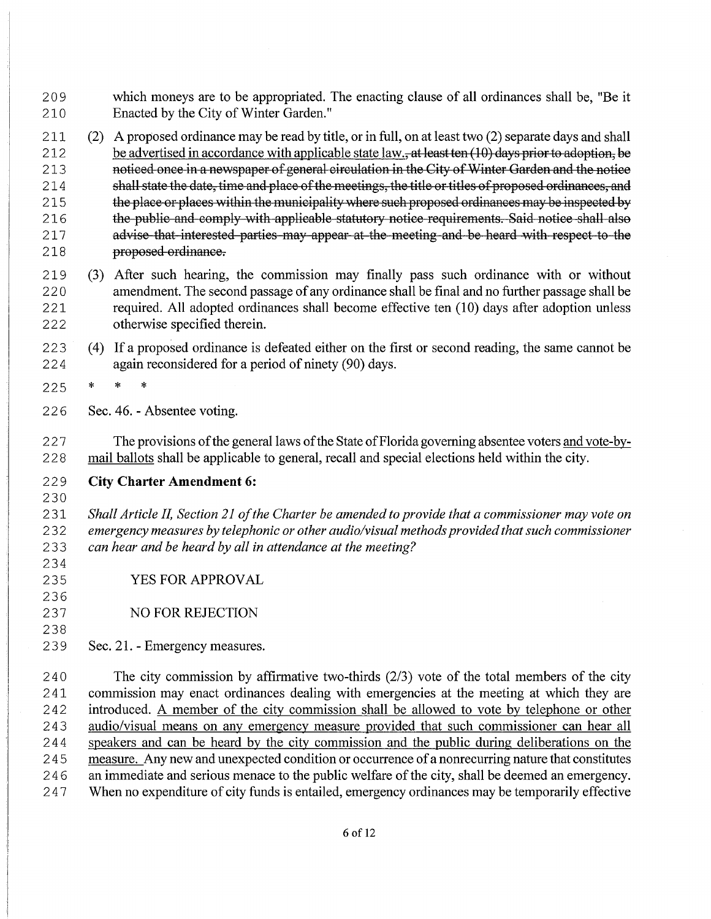- 2 O 9 which moneys are to be appropriated. The enacting clause of all ordinances shall be, "Be it 210 Enacted by the City of Winter Garden."
- 211 (2) A proposed ordinance may be read by title, or in full, on at least two (2) separate days and shall 212 be advertised in accordance with applicable state law., at least ten (10) days prior to adoption, be 213 noticed once in a newspaper of general circulation in the City of Winter Garden and the notice 214 shall state the date, time and place of the meetings, the title or titles of proposed ordinances, and 215 the place or places within the municipality where such proposed ordinances may be inspected by 216 the public and comply with applicable statutory notice requirements. Said notice shall also 217 advise that interested parties may appear at the meeting and be heard with respect to the 218 proposed ordinance.
- 219 (3) After such hearing, the commission may finally pass such ordinance with or without 2 2 O amendment. The second passage ofany ordinance shall be final and no further passage shall be 2 21 required. All adopted ordinances shall become effective ten (10) days after adoption unless 222 otherwise specified therein.
- 223 (4) If a proposed ordinance is defeated either on the first or second reading, the same cannot be 2 2 4 again reconsidered for a period of ninety (90) days.
- 225 \* \* \*
- 226 Sec. 46. Absentee voting.

227 The provisions of the general laws of the State of Florida governing absentee voters and vote-by-2 2 8 mail ballots shall be applicable to general, recall and special elections held within the city.

#### 2 2 9 **City Charter Amendment 6:**

230

234

236

238

<sup>2</sup>31 *Shall Article II, Section 21 ofthe Charter be amended to provide that a commissioner may vote on*  2 3 2 *emergency measures by telephonic or other audio/visual methods provided that such commissioner*  2 3 3 *can hear and be heard by all in attendance at the meeting?* 

- 235 YES FOR APPROVAL
- 237 NO FOR REJECTION
- 239 Sec. 21. Emergency measures.

240 The city commission by affirmative two-thirds (2/3) vote of the total members of the city 2 41 commission may enact ordinances dealing with emergencies at the meeting at which they are 2 42 introduced. A member of the city commission shall be allowed to vote by telephone or other 243 audio/visual means on any emergency measure provided that such commissioner can hear all 244 speakers and can be heard by the city commission and the public during deliberations on the 245 measure. Any new and unexpected condition or occurrence of a nonrecurring nature that constitutes 246 an immediate and serious menace to the public welfare of the city, shall be deemed an emergency. 247 When no expenditure of city funds is entailed, emergency ordinances may be temporarily effective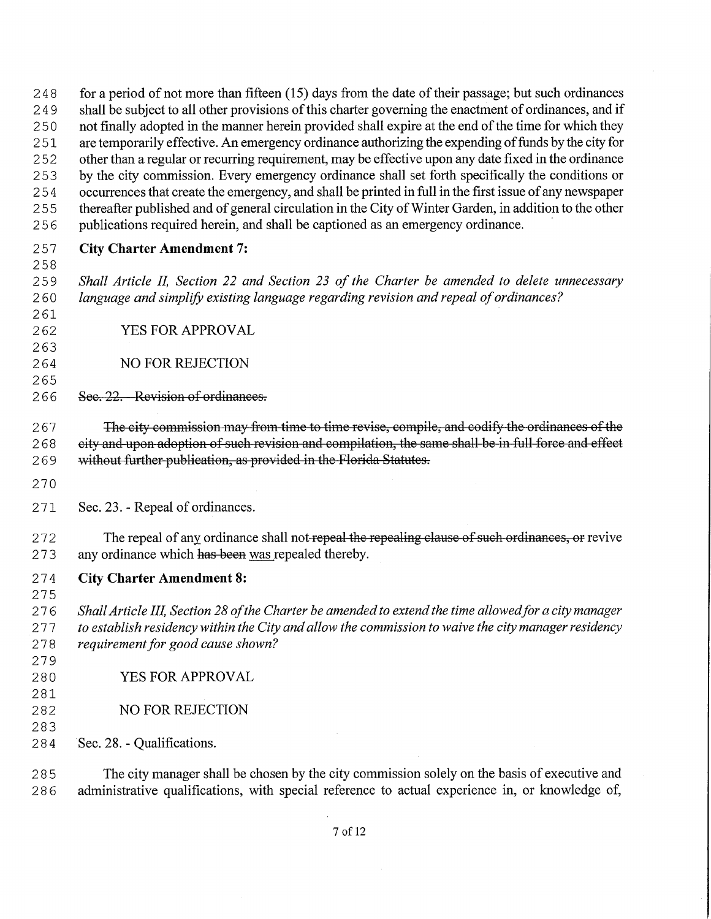248 for a period of not more than fifteen (15) days from the date of their passage; but such ordinances 249 shall be subject to all other provisions of this charter governing the enactment of ordinances, and if 250 not finally adopted in the manner herein provided shall expire at the end of the time for which they 251 are temporarily effective. An emergency ordinance authorizing the expending of funds by the city for 252 other than a regular or recurring requirement, may be effective upon any date fixed in the ordinance 253 by the city commission. Every emergency ordinance shall set forth specifically the conditions or 254 occurrences that create the emergency, and shall be printed in full in the first issue of any newspaper 255 thereafter published and of general circulation in the City of Winter Garden, in addition to the other 256 publications required herein, and shall be captioned as an emergency ordinance. 257 **City Charter Amendment 7:** 258 2 5 9 *Shall Article IL Section 22 and Section 23 of the Charter be amended to delete unnecessary*  2 60 *language and simplify existing language regarding revision and repeal ofordinances?*  261 262 YES FOR APPROVAL 263 264 NO FOR REJECTION 265 266 Sec. 22. - Revision of ordinances. 267 The city commission may from time to time revise, compile, and codify the ordinances of the 268 eity and upon adoption of such revision and compilation, the same shall be in full force and effect 269 without further publication, as provided in the Florida Statutes. 270 2 71 Sec. 23. - Repeal of ordinances. 272 The repeal of any ordinance shall not repeal the repealing clause of such ordinances, or revive 273 any ordinance which has been was repealed thereby. 2 7 4 **City Charter Amendment 8:**  275 2 7 6 *Shall Article IIL Section 28 ofthe Charter be amended to extend the time allowed for a city manager*  2 7 7 *to establish residency within the City and allow the commission to waive the city manager residency*  278 requirement for good cause shown? 279 280 YES FOR APPROVAL 281 282 NO FOR REJECTION 283 2 8 4 Sec. 28. - Qualifications. 2 8 5 The city manager shall be chosen by the city commission solely on the basis of executive and 286 administrative qualifications, with special reference to actual experience in, or knowledge of,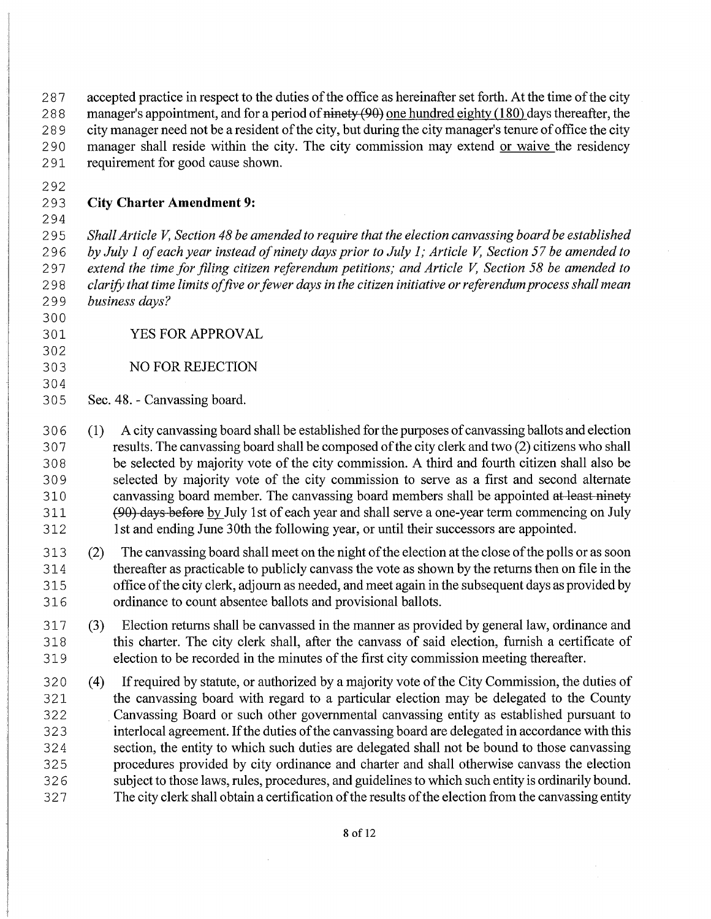287 accepted practice in respect to the duties of the office as hereinafter set forth. At the time of the city 288 manager's appointment, and for a period of  $\frac{\text{minety (90)}}{\text{minety (180)}}$  one hundred eighty (180) days thereafter, the 289 city manager need not be a resident of the city, but during the city manager's tenure of office the city 290 manager shall reside within the city. The city commission may extend or waive the residency 2 91 requirement for good cause shown.

292

294

#### 2 9 3 **City Charter Amendment 9:**

2 9 5 *Shall Article V, Section 48 be amended to require that the election canvassing board be established*  2 9 6 *by July 1 ofeach year instead ofninety days prior to July 1; Article V, Section 57 be amended to*  297 extend the time for filing citizen referendum petitions; and Article V, Section 58 be amended to 2 9 8 *clarify that time limits offive or fewer days in the citizen initiative or referendum process shall mean*  2 9 9 *business days?* 

- 300
- 302

304

- 301 YES FOR APPROVAL
- 303 NO FOR REJECTION
- 3O5 Sec. 48. Canvassing board.
- 3 0 6 (1) A city canvassing board shall be established for the purposes ofcanvassing ballots and election 3O7 results. The canvassing board shall be composed ofthe city clerk and two (2) citizens who shall 3 0 8 be selected by majority vote of the city commission. A third and fourth citizen shall also be 3 0 9 selected by majority vote of the city commission to serve as a first and second alternate 310 canvassing board member. The canvassing board members shall be appointed at least ninety 311 (90) days before by July 1st of each year and shall serve a one-year term commencing on July 312 1st and ending June 30th the following year, or until their successors are appointed.
- 313 (2) The canvassing board shall meet on the night ofthe election at the close ofthe polls or as soon 314 thereafter as practicable to publicly canvass the vote as shown by the returns then on file in the 315 office ofthe city clerk, adjourn as needed, and meet again in the subsequent days as provided by 316 ordinance to count absentee ballots and provisional ballots.
- 317 (3) Election returns shall be canvassed in the manner as provided by general law, ordinance and 318 this charter. The city clerk shall, after the canvass of said election, furnish a certificate of 319 election to be recorded in the minutes of the first city commission meeting thereafter.
- 320 (4) If required by statute, or authorized by a majority vote of the City Commission, the duties of 321 the canvassing board with regard to a particular election may be delegated to the County 3 2 2 Canvassing Board or such other governmental canvassing entity as established pursuant to 323 interlocal agreement. If the duties of the canvassing board are delegated in accordance with this 3 2 4 section, the entity to which such duties are delegated shall not be bound to those canvassing 3 2 5 procedures provided by city ordinance and charter and shall otherwise canvass the election 3 2 6 subject to those laws, rules, procedures, and guidelines to which such entity is ordinarily bound. 327 The city clerk shall obtain a certification of the results of the election from the canvassing entity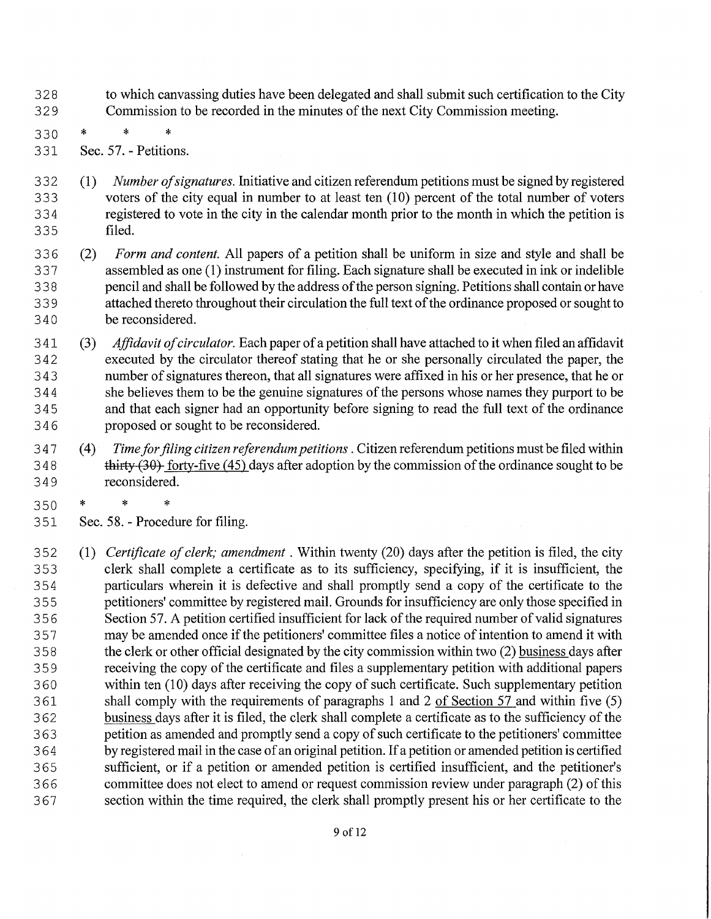- 3 2 8 to which canvassing duties have been delegated and shall submit such certification to the City 329 Commission to be recorded in the minutes of the next City Commission meeting.
- 330 \* \* \*
- 3 31 Sec. 57. Petitions.
- 3 3 2 (1) *Number ofsignatures.* Initiative and citizen referendum petitions must be signed by registered 333 voters of the city equal in number to at least ten (10) percent of the total number of voters<br>334 registered to vote in the city in the calendar month prior to the month in which the petition is registered to vote in the city in the calendar month prior to the month in which the petition is 335 filed.
- 3 3 6 (2) *Form and content.* All papers of a petition shall be uniform in size and style and shall be 3 3 7 assembled as one ( 1) instrument for filing. Each signature shall be executed in ink or indelible 338 pencil and shall be followed by the address of the person signing. Petitions shall contain or have 339 attached thereto throughout their circulation the full text of the ordinance proposed or sought to 340 be reconsidered.
- 3 41 (3) *Affidavit ofcirculator.* Each paper ofa petition shall have attached to it when filed an affidavit 342 executed by the circulator thereof stating that he or she personally circulated the paper, the 343 number of signatures thereon, that all signatures were affixed in his or her presence, that he or 344 she believes them to be the genuine signatures of the persons whose names they purport to be 345 and that each signer had an opportunity before signing to read the full text of the ordinance 3 4 6 proposed or sought to be reconsidered.
- 3 4 7 (4) *Time for filing citizen referendum petitions* . Citizen referendum petitions must be filed within 348 thirty (30) forty-five (45) days after adoption by the commission of the ordinance sought to be 349 reconsidered.
- 350 \* \* \*
- 351 Sec. 58. Procedure for filing.
- 352 (1) *Certificate of clerk; amendment*. Within twenty (20) days after the petition is filed, the city 3 5 3 clerk shall complete a certificate as to its sufficiency, specifying, if it is insufficient, the 3 5 4 particulars wherein it is defective and shall promptly send a copy of the certificate to the 355 petitioners' committee by registered mail. Grounds for insufficiency are only those specified in 356 Section 57. A petition certified insufficient for lack of the required number of valid signatures 357 may be amended once if the petitioners' committee files a notice of intention to amend it with 3 5 8 the clerk or other official designated by the city commission within two (2) business days after 3 5 9 receiving the copy of the certificate and files a supplementary petition with additional papers 360 within ten (10) days after receiving the copy of such certificate. Such supplementary petition 361 shall comply with the requirements of paragraphs 1 and 2 of Section 57 and within five (5) 362 business days after it is filed, the clerk shall complete a certificate as to the sufficiency of the 363 petition as amended and promptly send a copy of such certificate to the petitioners' committee 364 by registered mail in the case of an original petition. If a petition or amended petition is certified 3 6 5 sufficient, or if a petition or amended petition is certified insufficient, and the petitioner's 3 66 committee does not elect to amend or request commission review under paragraph (2) ofthis 367 section within the time required, the clerk shall promptly present his or her certificate to the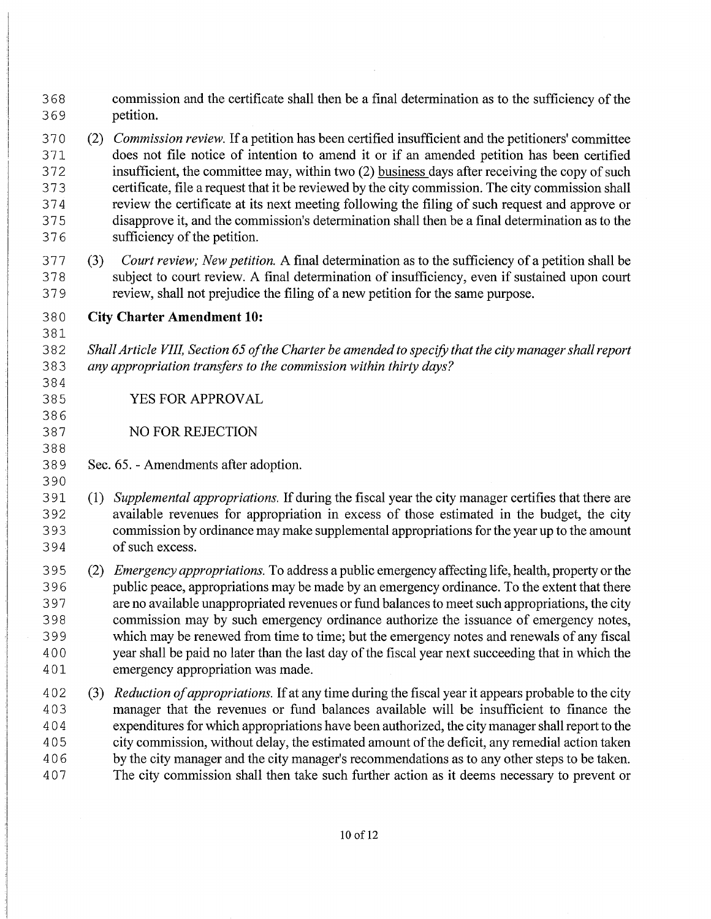- 3 6 8 commission and the certificate shall then be a final determination as to the sufficiency of the 369 petition.
- 3 7 0 (2) *Commission review.* Ifa petition has been certified insufficient and the petitioners' committee 3 71 does not file notice of intention to amend it or if an amended petition has been certified 372 insufficient, the committee may, within two (2) business days after receiving the copy of such 3 7 3 certificate, file a request that it be reviewed by the city commission. The city commission shall 3 7 4 review the certificate at its next meeting following the filing of such request and approve or 3 7 5 disapprove it, and the commission's determination shall then be a final determination as to the 376 sufficiency of the petition.
- 3 7 7 (3) *Court review; New petition.* A final determination as to the sufficiency of a petition shall be 3 7 8 subject to court review. A final determination of insufficiency, even if sustained upon court 3 7 9 review, shall not prejudice the filing of a new petition for the same purpose.
- 3 8 O **City Charter Amendment 10:**
- 3 8 2 *Shall Article VIIL Section 65 ofthe Charter be amended to specify that the city manager shall report*  3 8 3 *any appropriation transfers to the commission within thirty days?*
- 385 YES FOR APPROVAL
- 387 NO FOR REJECTION
- 3 8 9 Sec. 65. Amendments after adoption.
- 390

381

384

386

388

3 91 (1) *Supplemental appropriations.* Ifduring the fiscal year the city manager certifies that there are 392 available revenues for appropriation in excess of those estimated in the budget, the city 3 9 3 commission by ordinance may make supplemental appropriations for the year up to the amount 394 of such excess.

- 3 9 5 (2) *Emergency appropriations.* To address a public emergency affecting life, health, property or the 396 public peace, appropriations may be made by an emergency ordinance. To the extent that there 3 9 7 are no available unappropriated revenues or fund balances to meet such appropriations, the city 398 commission may by such emergency ordinance authorize the issuance of emergency notes, 3 9 9 which may be renewed from time to time; but the emergency notes and renewals of any fiscal 400 year shall be paid no later than the last day of the fiscal year next succeeding that in which the 401 emergency appropriation was made.
- 4 0 2 (3) *Reduction ofappropriations.* Ifat any time during the fiscal year it appears probable to the city 4 0 3 manager that the revenues or fund balances available will be insufficient to finance the 4 0 4 expenditures for which appropriations have been authorized, the city manager shall report to the 4 0 5 city commission, without delay, the estimated amount ofthe deficit, any remedial action taken 406 by the city manager and the city manager's recommendations as to any other steps to be taken. 4 0 7 The city commission shall then take such further action as it deems necessary to prevent or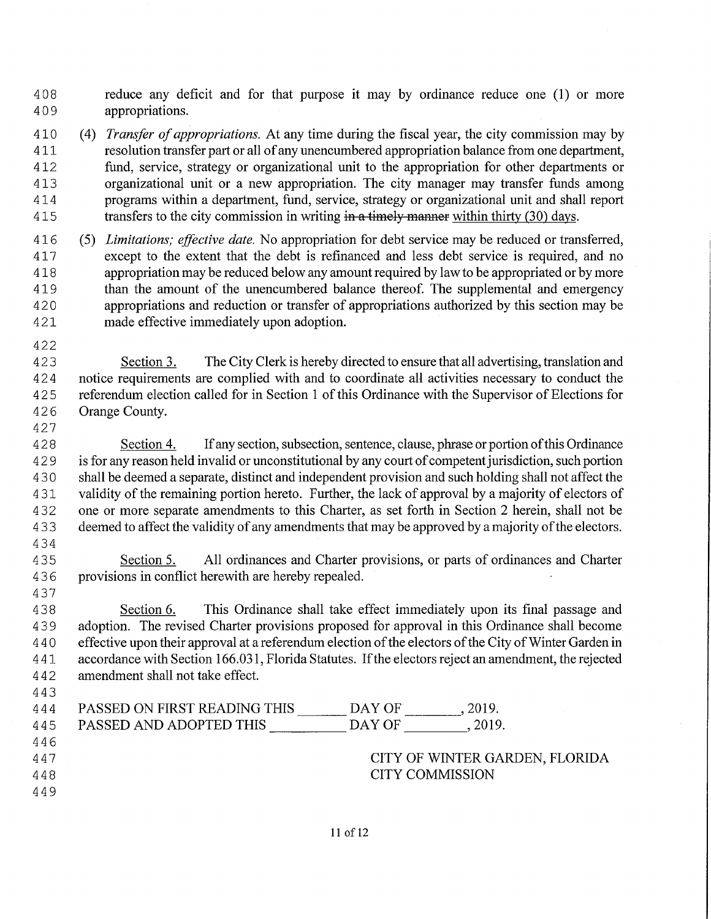408 reduce any deficit and for that purpose it may by ordinance reduce one (1) or more 4 0 9 appropriations.

410 (4) *Transfer of appropriations.* At any time during the fiscal year, the city commission may by 411 resolution transfer part or all ofany unencumbered appropriation balance from one department, 412 fund, service, strategy or organizational unit to the appropriation for other departments or 413 organizational unit or a new appropriation. The city manager may transfer funds among 414 programs within a department, fund, service, strategy or organizational unit and shall report 415 transfers to the city commission in writing in a timely manner within thirty (30) days.

- 416 (5) *Limitations; effective date.* No appropriation for debt service may be reduced or transferred, 41 7 except to the extent that the debt is refinanced and less debt service is required, and no 418 appropriation may be reduced below any amount required by law to be appropriated or by more 419 than the amount of the unencumbered balance thereof. The supplemental and emergency 4 2 0 appropriations and reduction or transfer of appropriations authorized by this section may be 421 made effective immediately upon adoption.
- 422

427

4 2 3 Section 3. The City Clerk is hereby directed to ensure that all advertising, translation and 4 2 4 notice requirements are complied with and to coordinate all activities necessary to conduct the 4 2 5 referendum election called for in Section 1 of this Ordinance with the Supervisor of Elections for 426 Orange County.

4 2 8 Section 4. If any section, subsection, sentence, clause, phrase or portion of this Ordinance 429 is for any reason held invalid or unconstitutional by any court of competent jurisdiction, such portion 4 3 0 shall be deemed a separate, distinct and independent provision and such holding shall not affect the 431 validity of the remaining portion hereto. Further, the lack of approval by a majority of electors of 432 one or more separate amendments to this Charter, as set forth in Section 2 herein, shall not be 433 deemed to affect the validity of any amendments that may be approved by a majority of the electors.

434

437

443

4 3 5 Section 5. All ordinances and Charter provisions, or parts of ordinances and Charter 436 provisions in conflict herewith are hereby repealed.

4 3 8 Section 6. This Ordinance shall take effect immediately upon its final passage and 439 adoption. The revised Charter provisions proposed for approval in this Ordinance shall become 440 effective upon their approval at a referendum election of the electors of the City of Winter Garden in 4 41 accordance with Section 166.031, Florida Statutes. Ifthe electors reject an amendment, the rejected 4 4 2 amendment shall not take effect.

 $\frac{\text{DAY OF}}{\text{DAY OF}}$ 444 PASSED ON FIRST READING THIS \_\_\_\_\_\_\_\_ DAY OF \_\_\_\_\_\_\_\_, 2019. 445 PASSED AND ADOPTED THIS DAY OF 5.2019. 446 447 CITY OF WINTER GARDEN, FLORIDA 448 CITY COMMISSION 449